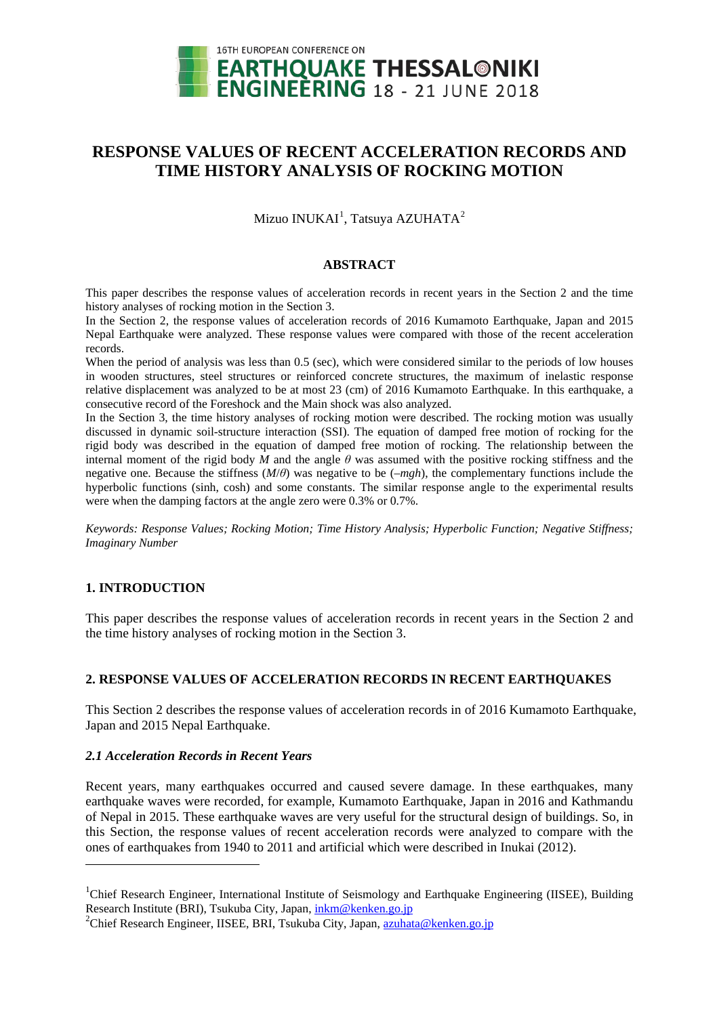

# **RESPONSE VALUES OF RECENT ACCELERATION RECORDS AND TIME HISTORY ANALYSIS OF ROCKING MOTION**

Mizuo INUKAI $^{\rm l}$ , Tatsuya AZUHATA $^{\rm 2}$  $^{\rm 2}$  $^{\rm 2}$ 

#### **ABSTRACT**

This paper describes the response values of acceleration records in recent years in the Section 2 and the time history analyses of rocking motion in the Section 3.

In the Section 2, the response values of acceleration records of 2016 Kumamoto Earthquake, Japan and 2015 Nepal Earthquake were analyzed. These response values were compared with those of the recent acceleration records.

When the period of analysis was less than 0.5 (sec), which were considered similar to the periods of low houses in wooden structures, steel structures or reinforced concrete structures, the maximum of inelastic response relative displacement was analyzed to be at most 23 (cm) of 2016 Kumamoto Earthquake. In this earthquake, a consecutive record of the Foreshock and the Main shock was also analyzed.

In the Section 3, the time history analyses of rocking motion were described. The rocking motion was usually discussed in dynamic soil-structure interaction (SSI). The equation of damped free motion of rocking for the rigid body was described in the equation of damped free motion of rocking. The relationship between the internal moment of the rigid body  $\dot{M}$  and the angle  $\theta$  was assumed with the positive rocking stiffness and the negative one. Because the stiffness (*M*/*θ*) was negative to be (–*mgh*), the complementary functions include the hyperbolic functions (sinh, cosh) and some constants. The similar response angle to the experimental results were when the damping factors at the angle zero were 0.3% or 0.7%.

*Keywords: Response Values; Rocking Motion; Time History Analysis; Hyperbolic Function; Negative Stiffness; Imaginary Number*

# **1. INTRODUCTION**

-

This paper describes the response values of acceleration records in recent years in the Section 2 and the time history analyses of rocking motion in the Section 3.

# **2. RESPONSE VALUES OF ACCELERATION RECORDS IN RECENT EARTHQUAKES**

This Section 2 describes the response values of acceleration records in of 2016 Kumamoto Earthquake, Japan and 2015 Nepal Earthquake.

## *2.1 Acceleration Records in Recent Years*

Recent years, many earthquakes occurred and caused severe damage. In these earthquakes, many earthquake waves were recorded, for example, Kumamoto Earthquake, Japan in 2016 and Kathmandu of Nepal in 2015. These earthquake waves are very useful for the structural design of buildings. So, in this Section, the response values of recent acceleration records were analyzed to compare with the ones of earthquakes from 1940 to 2011 and artificial which were described in Inukai (2012).

<span id="page-0-0"></span><sup>&</sup>lt;sup>1</sup>Chief Research Engineer, International Institute of Seismology and Earthquake Engineering (IISEE), Building Research Institute (BRI), Tsukuba City, Japan[, inkm@kenken.go.jp](mailto:inkm@kenken.go.jp)

<span id="page-0-1"></span><sup>&</sup>lt;sup>2</sup>Chief Research Engineer, IISEE, BRI, Tsukuba City, Japan, [azuhata@kenken.go.jp](mailto:azuhata@kenken.go.jp)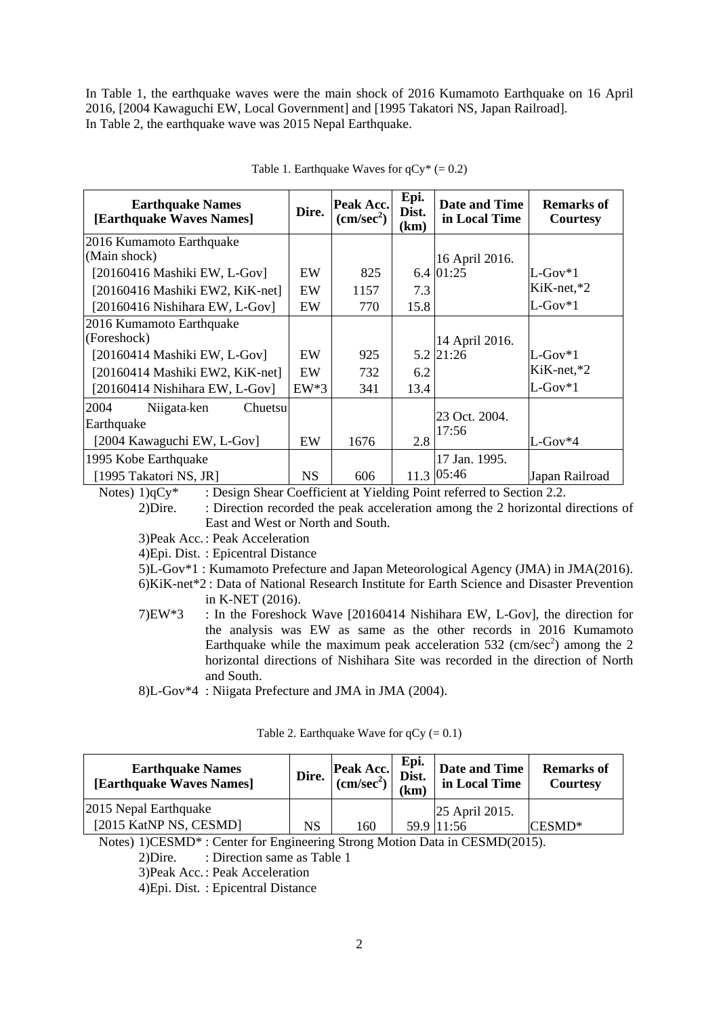In Table 1, the earthquake waves were the main shock of 2016 Kumamoto Earthquake on 16 April 2016, [2004 Kawaguchi EW, Local Government] and [1995 Takatori NS, Japan Railroad]. In Table 2, the earthquake wave was 2015 Nepal Earthquake.

| <b>Earthquake Names</b><br>[Earthquake Waves Names] | Dire.     | Peak Acc.<br>$\text{(cm/sec}^2)$ | Epi.<br>Dist.<br>(km | Date and Time<br>in Local Time | <b>Remarks of</b><br><b>Courtesy</b> |
|-----------------------------------------------------|-----------|----------------------------------|----------------------|--------------------------------|--------------------------------------|
| 2016 Kumamoto Earthquake                            |           |                                  |                      |                                |                                      |
| (Main shock)                                        |           |                                  |                      | 16 April 2016.                 |                                      |
| [20160416 Mashiki EW, L-Gov]                        | EW        | 825                              |                      | 6.4 01:25                      | $L$ -Gov*1                           |
| [20160416 Mashiki EW2, KiK-net]                     | EW        | 1157                             | 7.3                  |                                | $KiK-net.*2$                         |
| [20160416 Nishihara EW, L-Gov]                      | EW        | 770                              | 15.8                 |                                | $L$ -Gov $*1$                        |
| 2016 Kumamoto Earthquake                            |           |                                  |                      |                                |                                      |
| (Foreshock)                                         |           |                                  |                      | 14 April 2016.                 |                                      |
| $[20160414$ Mashiki EW, L-Gov]                      | EW        | 925                              |                      | 5.2 21:26                      | $L$ -Gov $*1$                        |
| [20160414 Mashiki EW2, KiK-net]                     | EW        | 732                              | 6.2                  |                                | $KiK-net.*2$                         |
| [20160414 Nishihara EW, L-Gov]                      | $EW^*3$   | 341                              | 13.4                 |                                | $L$ -Gov $*1$                        |
| 2004<br>Niigata-ken<br>Chuetsu                      |           |                                  |                      |                                |                                      |
| Earthquake                                          |           |                                  |                      | 23 Oct. 2004.<br>17:56         |                                      |
| [2004 Kawaguchi EW, L-Gov]                          | EW        | 1676                             | 2.8                  |                                | $L$ -Gov $*4$                        |
| 1995 Kobe Earthquake                                |           |                                  |                      | 17 Jan. 1995.                  |                                      |
| [1995 Takatori NS, JR]                              | <b>NS</b> | 606                              |                      | 11.3 05:46                     | Japan Railroad                       |

|  | Table 1. Earthquake Waves for $qCy^* (= 0.2)$ |  |  |  |
|--|-----------------------------------------------|--|--|--|
|  |                                               |  |  |  |

Notes) 1)qCy<sup>\*</sup> : Design Shear Coefficient at Yielding Point referred to Section 2.2.

2)Dire. : Direction recorded the peak acceleration among the 2 horizontal directions of East and West or North and South.

3)Peak Acc. : Peak Acceleration

4)Epi. Dist. : Epicentral Distance

5)L-Gov\*1 : Kumamoto Prefecture and Japan Meteorological Agency (JMA) in JMA(2016).

6)KiK-net\*2 : Data of National Research Institute for Earth Science and Disaster Prevention in K-NET (2016).

7)EW\*3 : In the Foreshock Wave [20160414 Nishihara EW, L-Gov], the direction for the analysis was EW as same as the other records in 2016 Kumamoto Earthquake while the maximum peak acceleration 532 (cm/sec<sup>2</sup>) among the 2 horizontal directions of Nishihara Site was recorded in the direction of North and South.

8)L-Gov\*4 : Niigata Prefecture and JMA in JMA (2004).

| Table 2. Earthquake Wave for $qCy (= 0.1)$ |  |
|--------------------------------------------|--|
|                                            |  |

| <b>Earthquake Names</b><br>[Earthquake Waves Names] | Dire. | Peak Acc. Epi.<br>$\begin{array}{cc} \text{Epi.} \\ \text{Dist.} \end{array}$<br>(cm/sec <sup>2</sup> ) | $k$ m) | Date and Time<br>in Local Time | <b>Remarks of</b><br><b>Courtesy</b> |
|-----------------------------------------------------|-------|---------------------------------------------------------------------------------------------------------|--------|--------------------------------|--------------------------------------|
| 2015 Nepal Earthquake                               |       |                                                                                                         |        | 25 April 2015.                 |                                      |
| [2015 KatNP NS, CESMD]                              | NS    | 160                                                                                                     |        | 59.9 11:56                     | CESMD*                               |

Notes) 1)CESMD\* : Center for Engineering Strong Motion Data in CESMD(2015).

2)Dire. : Direction same as Table 1

3)Peak Acc. : Peak Acceleration

4)Epi. Dist. : Epicentral Distance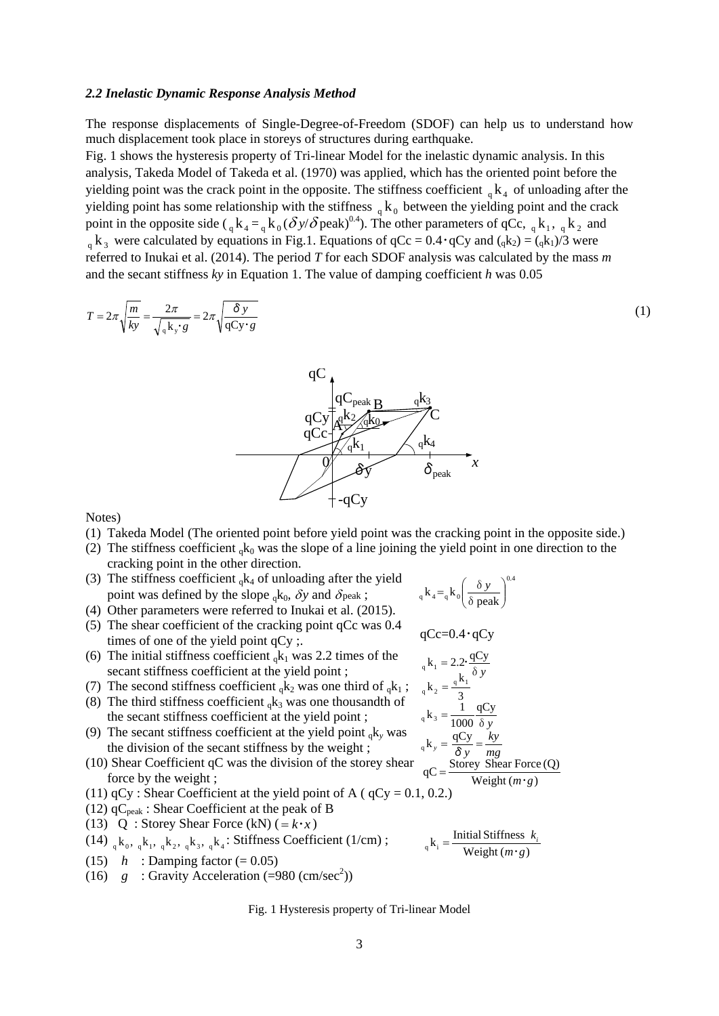#### *2.2 Inelastic Dynamic Response Analysis Method*

The response displacements of Single-Degree-of-Freedom (SDOF) can help us to understand how much displacement took place in storeys of structures during earthquake.

Fig. 1 shows the hysteresis property of Tri-linear Model for the inelastic dynamic analysis. In this analysis, Takeda Model of Takeda et al. (1970) was applied, which has the oriented point before the yielding point was the crack point in the opposite. The stiffness coefficient  ${}_{\alpha}$  k<sub>4</sub> of unloading after the yielding point has some relationship with the stiffness  ${}_{q}k_{0}$  between the yielding point and the crack point in the opposite side ( $_{q}k_{4} =_{q} k_{0} (\delta y/\delta$  peak)<sup>0.4</sup>). The other parameters of qCc,  $_{q}k_{1}$ ,  $_{q}k_{2}$  and  $_q$  k<sub>3</sub> were calculated by equations in Fig.1. Equations of  $qCc = 0.4 \cdot qCy$  and  $(_qk_2) = (_qk_1)/3$  were referred to Inukai et al. (2014). The period *T* for each SDOF analysis was calculated by the mass *m*

and the secant stiffness *ky* in Equation 1. The value of damping coefficient *h* was 0.05

$$
T = 2\pi \sqrt{\frac{m}{ky}} = \frac{2\pi}{\sqrt{4k_y \cdot g}} = 2\pi \sqrt{\frac{\delta y}{qCy \cdot g}}
$$
(1)



Notes)

- (1) Takeda Model (The oriented point before yield point was the cracking point in the opposite side.)
- (2) The stiffness coefficient  $_{\alpha}$ k<sub>0</sub> was the slope of a line joining the yield point in one direction to the cracking point in the other direction.
- (3) The stiffness coefficient  $_{q}k_{4}$  of unloading after the yield point was defined by the slope  ${}_{0}k_{0}$ ,  $\delta y$  and  $\delta$  peak;
- (4) Other parameters were referred to Inukai et al. (2015).
- (5) The shear coefficient of the cracking point qCc was 0.4 times of one of the yield point qCy ;.
- (6) The initial stiffness coefficient  $_{\alpha}k_1$  was 2.2 times of the secant stiffness coefficient at the yield point ;
- (7) The second stiffness coefficient  ${}_{q}k_2$  was one third of  ${}_{q}k_1$ ; (8) The third stiffness coefficient  $_{\alpha}$ k<sub>3</sub> was one thousandth of
- the secant stiffness coefficient at the yield point ;
- (9) The secant stiffness coefficient at the yield point  $_{0}k_{y}$  was the division of the secant stiffness by the weight ;
- (10) Shear Coefficient qC was the division of the storey shear force by the weight ;
- (11)  $qCy$ : Shear Coefficient at the yield point of A ( $qCy = 0.1, 0.2$ .)
- (12)  $qC_{\text{peak}}$ : Shear Coefficient at the peak of B
- (13) Q : Storey Shear Force (kN)  $(=k \cdot x)$
- (14)  $_{a}$   $_{a}$   $_{b}$   $_{a}$   $_{c}$   $_{d}$   $_{c}$   $_{d}$   $_{s}$   $_{c}$   $_{d}$   $_{c}$   $_{d}$   $_{d}$  : Stiffness Coefficient (1/cm) ;
- (15)  $h$  : Damping factor (= 0.05)
- (16)  $g :$  Gravity Acceleration (=980 (cm/sec<sup>2</sup>))

Fig. 1 Hysteresis property of Tri-linear Model

$$
{}_{q}k_{4} = {}_{q}k_{0} \left(\frac{\delta y}{\delta peak}\right)^{0.4}
$$

$$
qCc{=}0.4\cdot qCy
$$

δ*y* qCy  $_{q}$  k<sub>3</sub> =  $\frac{1}{1000}$  $_{q}$  k<sub>1</sub> = 2.2  $\frac{qCy}{\delta y}$ 3  $_{q}$  k<sub>2</sub> =  $\frac{_{q}$  k<sub>1</sub> *mg*  $_{q}$ **k**<sub>*y*</sub> =  $\frac{qCy}{\delta y} = \frac{ky}{mg}$  $qC = \frac{\text{Storey Shear Force}(Q)}{\text{Weight}(m \cdot g)}$ 

$$
Weight(m \cdot g)
$$

 $k_{\text{q}}$  k<sub>i</sub> =  $\frac{\text{Initial Stiffness } k_{\text{q}}}{\text{Weight }(m \cdot g)}$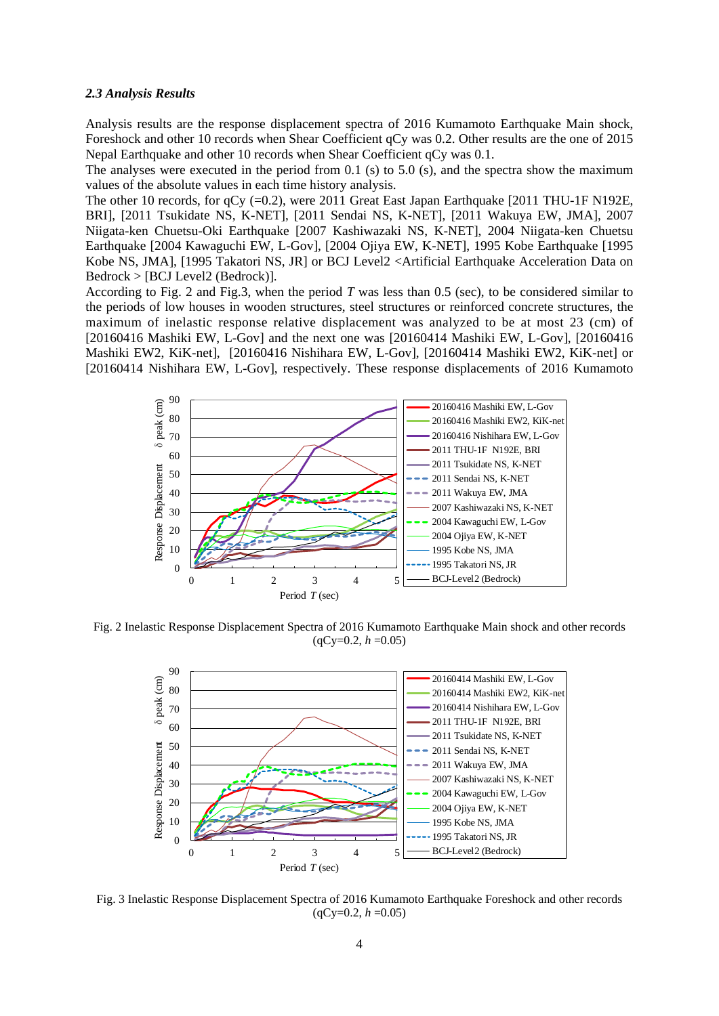#### *2.3 Analysis Results*

Analysis results are the response displacement spectra of 2016 Kumamoto Earthquake Main shock, Foreshock and other 10 records when Shear Coefficient qCy was 0.2. Other results are the one of 2015 Nepal Earthquake and other 10 records when Shear Coefficient qCy was 0.1.

The analyses were executed in the period from 0.1 (s) to 5.0 (s), and the spectra show the maximum values of the absolute values in each time history analysis.

The other 10 records, for qCy (=0.2), were 2011 Great East Japan Earthquake [2011 THU-1F N192E, BRI], [2011 Tsukidate NS, K-NET], [2011 Sendai NS, K-NET], [2011 Wakuya EW, JMA], 2007 Niigata-ken Chuetsu-Oki Earthquake [2007 Kashiwazaki NS, K-NET], 2004 Niigata-ken Chuetsu Earthquake [2004 Kawaguchi EW, L-Gov], [2004 Ojiya EW, K-NET], 1995 Kobe Earthquake [1995 Kobe NS, JMA], [1995 Takatori NS, JR] or BCJ Level2 <Artificial Earthquake Acceleration Data on Bedrock > [BCJ Level2 (Bedrock)].

According to Fig. 2 and Fig.3, when the period *T* was less than 0.5 (sec), to be considered similar to the periods of low houses in wooden structures, steel structures or reinforced concrete structures, the maximum of inelastic response relative displacement was analyzed to be at most 23 (cm) of [20160416 Mashiki EW, L-Gov] and the next one was [20160414 Mashiki EW, L-Gov], [20160416 Mashiki EW2, KiK-net], [20160416 Nishihara EW, L-Gov], [20160414 Mashiki EW2, KiK-net] or [20160414 Nishihara EW, L-Gov], respectively. These response displacements of 2016 Kumamoto



Fig. 2 Inelastic Response Displacement Spectra of 2016 Kumamoto Earthquake Main shock and other records  $(qCy=0.2, h=0.05)$ 



Fig. 3 Inelastic Response Displacement Spectra of 2016 Kumamoto Earthquake Foreshock and other records  $(qCy=0.2, h=0.05)$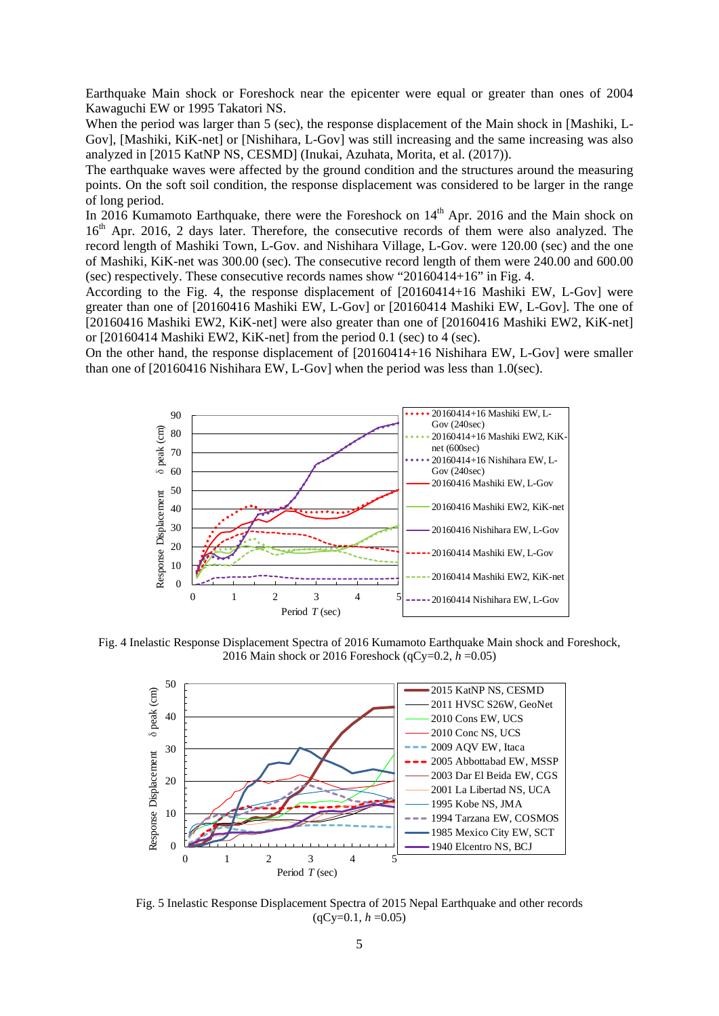Earthquake Main shock or Foreshock near the epicenter were equal or greater than ones of 2004 Kawaguchi EW or 1995 Takatori NS.

When the period was larger than 5 (sec), the response displacement of the Main shock in [Mashiki, L-Gov], [Mashiki, KiK-net] or [Nishihara, L-Gov] was still increasing and the same increasing was also analyzed in [2015 KatNP NS, CESMD] (Inukai, Azuhata, Morita, et al. (2017)).

The earthquake waves were affected by the ground condition and the structures around the measuring points. On the soft soil condition, the response displacement was considered to be larger in the range of long period.

In 2016 Kumamoto Earthquake, there were the Foreshock on  $14<sup>th</sup>$  Apr. 2016 and the Main shock on 16<sup>th</sup> Apr. 2016, 2 days later. Therefore, the consecutive records of them were also analyzed. The record length of Mashiki Town, L-Gov. and Nishihara Village, L-Gov. were 120.00 (sec) and the one of Mashiki, KiK-net was 300.00 (sec). The consecutive record length of them were 240.00 and 600.00 (sec) respectively. These consecutive records names show "20160414+16" in Fig. 4.

According to the Fig. 4, the response displacement of [20160414+16 Mashiki EW, L-Gov] were greater than one of [20160416 Mashiki EW, L-Gov] or [20160414 Mashiki EW, L-Gov]. The one of [20160416 Mashiki EW2, KiK-net] were also greater than one of [20160416 Mashiki EW2, KiK-net] or [20160414 Mashiki EW2, KiK-net] from the period 0.1 (sec) to 4 (sec).

On the other hand, the response displacement of [20160414+16 Nishihara EW, L-Gov] were smaller than one of [20160416 Nishihara EW, L-Gov] when the period was less than 1.0(sec).



Fig. 4 Inelastic Response Displacement Spectra of 2016 Kumamoto Earthquake Main shock and Foreshock, 2016 Main shock or 2016 Foreshock (qCy=0.2, *h* =0.05)



Fig. 5 Inelastic Response Displacement Spectra of 2015 Nepal Earthquake and other records  $(qCy=0.1, h=0.05)$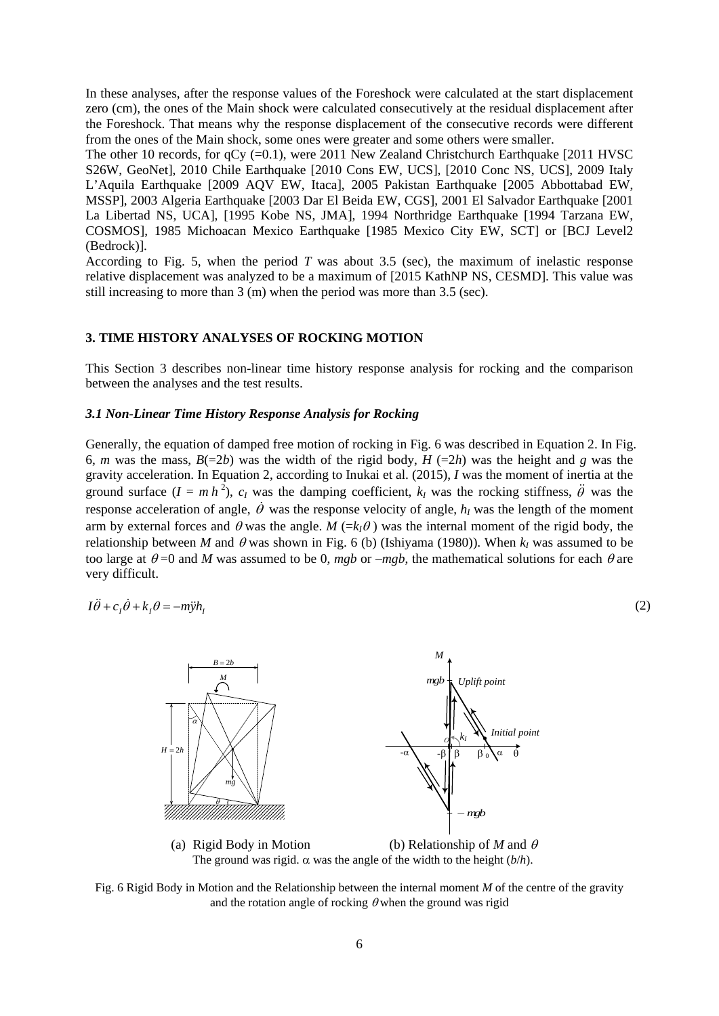In these analyses, after the response values of the Foreshock were calculated at the start displacement zero (cm), the ones of the Main shock were calculated consecutively at the residual displacement after the Foreshock. That means why the response displacement of the consecutive records were different from the ones of the Main shock, some ones were greater and some others were smaller.

The other 10 records, for qCy (=0.1), were 2011 New Zealand Christchurch Earthquake [2011 HVSC S26W, GeoNet], 2010 Chile Earthquake [2010 Cons EW, UCS], [2010 Conc NS, UCS], 2009 Italy L'Aquila Earthquake [2009 AQV EW, Itaca], 2005 Pakistan Earthquake [2005 Abbottabad EW, MSSP], 2003 Algeria Earthquake [2003 Dar El Beida EW, CGS], 2001 El Salvador Earthquake [2001 La Libertad NS, UCA], [1995 Kobe NS, JMA], 1994 Northridge Earthquake [1994 Tarzana EW, COSMOS], 1985 Michoacan Mexico Earthquake [1985 Mexico City EW, SCT] or [BCJ Level2 (Bedrock)].

According to Fig. 5, when the period *T* was about 3.5 (sec), the maximum of inelastic response relative displacement was analyzed to be a maximum of [2015 KathNP NS, CESMD]. This value was still increasing to more than 3 (m) when the period was more than 3.5 (sec).

# **3. TIME HISTORY ANALYSES OF ROCKING MOTION**

This Section 3 describes non-linear time history response analysis for rocking and the comparison between the analyses and the test results.

#### *3.1 Non-Linear Time History Response Analysis for Rocking*

Generally, the equation of damped free motion of rocking in Fig. 6 was described in Equation 2. In Fig. 6, *m* was the mass,  $B(=2b)$  was the width of the rigid body,  $H (=2h)$  was the height and *g* was the gravity acceleration. In Equation 2, according to Inukai et al. (2015), *I* was the moment of inertia at the ground surface  $(I = m h^2)$ ,  $c_I$  was the damping coefficient,  $k_I$  was the rocking stiffness,  $\ddot{\theta}$  was the response acceleration of angle,  $\dot{\theta}$  was the response velocity of angle,  $h_l$  was the length of the moment arm by external forces and  $\theta$  was the angle. *M* (= $k_l\theta$ ) was the internal moment of the rigid body, the relationship between *M* and  $\theta$  was shown in Fig. 6 (b) (Ishiyama (1980)). When  $k_I$  was assumed to be too large at  $\theta$  =0 and *M* was assumed to be 0, *mgb* or –*mgb*, the mathematical solutions for each  $\theta$  are very difficult.

$$
I\ddot{\theta} + c_1\dot{\theta} + k_1\theta = -m\ddot{y}h_1\tag{2}
$$



(a) Rigid Body in Motion (b) Relationship of *M* and θ The ground was rigid.  $\alpha$  was the angle of the width to the height ( $b/h$ ).

Fig. 6 Rigid Body in Motion and the Relationship between the internal moment *M* of the centre of the gravity and the rotation angle of rocking  $\theta$  when the ground was rigid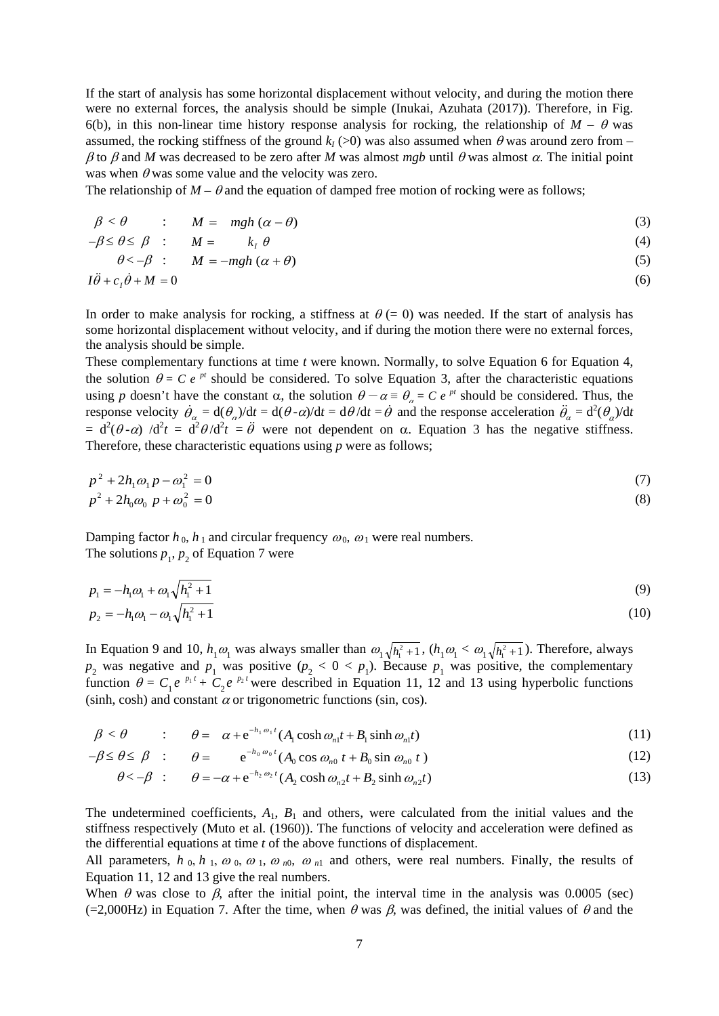If the start of analysis has some horizontal displacement without velocity, and during the motion there were no external forces, the analysis should be simple (Inukai, Azuhata (2017)). Therefore, in Fig. 6(b), in this non-linear time history response analysis for rocking, the relationship of  $M - \theta$  was assumed, the rocking stiffness of the ground  $k_l$  (>0) was also assumed when  $\theta$  was around zero from –  $β$  to  $β$  and *M* was decreased to be zero after *M* was almost *mgb* until  $θ$  was almost  $α$ . The initial point was when  $\theta$  was some value and the velocity was zero.

The relationship of  $M - \theta$  and the equation of damped free motion of rocking were as follows;

$$
\beta < \theta \qquad : \qquad M = mgh \left( \alpha - \theta \right) \tag{3}
$$

$$
-\beta \le \theta \le \beta \quad \text{:} \qquad M = k_{I} \theta \tag{4}
$$

$$
\theta \lt -\beta \quad : \qquad M = -mgh \; (\alpha + \theta) \tag{5}
$$

$$
I\ddot{\theta} + c_1\dot{\theta} + M = 0 \tag{6}
$$

In order to make analysis for rocking, a stiffness at  $\theta = 0$ ) was needed. If the start of analysis has some horizontal displacement without velocity, and if during the motion there were no external forces, the analysis should be simple.

These complementary functions at time *t* were known. Normally, to solve Equation 6 for Equation 4, the solution  $\theta = C e^{pt}$  should be considered. To solve Equation 3, after the characteristic equations using *p* doesn't have the constant  $\alpha$ , the solution  $\theta - \alpha = \theta_{\alpha} = C e^{pt}$  should be considered. Thus, the response velocity  $\dot{\theta}_a = d(\theta_a)/dt = d(\theta \cdot \alpha)/dt = d\theta/dt = \dot{\theta}$  and the response acceleration  $\ddot{\theta}_a = d^2(\theta_a)/dt$ =  $d^2(\theta - \alpha)$  /d<sup>2</sup>t =  $d^2\theta$ /d<sup>2</sup>t =  $\ddot{\theta}$  were not dependent on  $\alpha$ . Equation 3 has the negative stiffness. Therefore, these characteristic equations using *p* were as follows;

$$
p^{2} + 2h_{1}\omega_{1}p - \omega_{1}^{2} = 0
$$
\n
$$
p^{2} + 2h_{0}\omega_{0}p + \omega_{0}^{2} = 0
$$
\n(7)

Damping factor  $h_0$ ,  $h_1$  and circular frequency  $\omega_0$ ,  $\omega_1$  were real numbers. The solutions  $p_1$ ,  $p_2$  of Equation 7 were

$$
p_1 = -h_1 \omega_1 + \omega_1 \sqrt{h_1^2 + 1}
$$
 (9)

$$
p_2 = -h_1 \omega_1 - \omega_1 \sqrt{h_1^2 + 1} \tag{10}
$$

In Equation 9 and 10,  $h_1\omega_1$  was always smaller than  $\omega_1\sqrt{h_1^2+1}$ ,  $(h_1\omega_1 < \omega_1\sqrt{h_1^2+1})$ . Therefore, always  $p_2$  was negative and  $p_1$  was positive ( $p_2 < 0 < p_1$ ). Because  $p_1$  was positive, the complementary function  $\theta = C_1 e^{-p_1 t} + C_2 e^{-p_2 t}$  were described in Equation 11, 12 and 13 using hyperbolic functions (sinh, cosh) and constant  $\alpha$  or trigonometric functions (sin, cos).

$$
\beta < \theta \qquad : \qquad \theta = \alpha + e^{-h_1 \omega_1 t} (A_1 \cosh \omega_{n1} t + B_1 \sinh \omega_{n1} t) \tag{11}
$$

$$
-\beta \leq \theta \leq \beta \quad : \qquad \theta = \qquad e^{-h_0 \omega_0 t} (A_0 \cos \omega_{n0} t + B_0 \sin \omega_{n0} t)
$$
 (12)

$$
\theta < -\beta \quad : \qquad \theta = -\alpha + e^{-h_2 \omega_2 t} (A_2 \cosh \omega_{n2} t + B_2 \sinh \omega_{n2} t) \tag{13}
$$

The undetermined coefficients,  $A_1$ ,  $B_1$  and others, were calculated from the initial values and the stiffness respectively (Muto et al. (1960)). The functions of velocity and acceleration were defined as the differential equations at time *t* of the above functions of displacement.

All parameters,  $h_0$ ,  $h_1$ ,  $\omega_0$ ,  $\omega_1$ ,  $\omega_{n0}$ ,  $\omega_{n1}$  and others, were real numbers. Finally, the results of Equation 11, 12 and 13 give the real numbers.

When  $\theta$  was close to  $\beta$ , after the initial point, the interval time in the analysis was 0.0005 (sec) (=2,000Hz) in Equation 7. After the time, when  $\theta$  was  $\beta$ , was defined, the initial values of  $\theta$  and the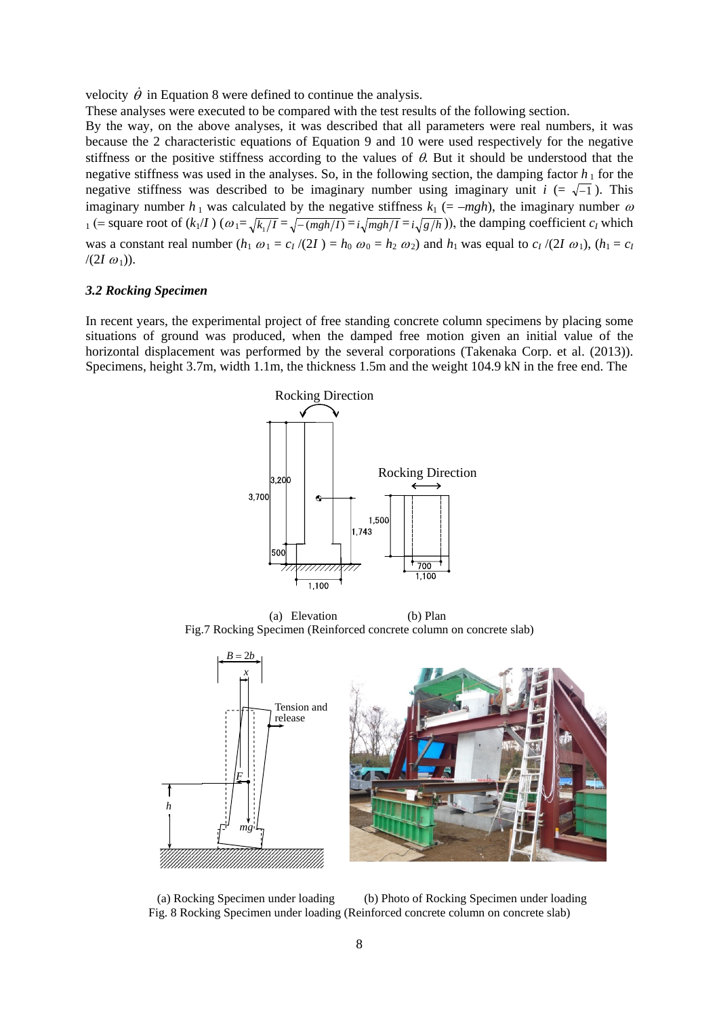velocity  $\dot{\theta}$  in Equation 8 were defined to continue the analysis.

These analyses were executed to be compared with the test results of the following section.

By the way, on the above analyses, it was described that all parameters were real numbers, it was because the 2 characteristic equations of Equation 9 and 10 were used respectively for the negative stiffness or the positive stiffness according to the values of  $\theta$ . But it should be understood that the negative stiffness was used in the analyses. So, in the following section, the damping factor  $h_1$  for the negative stiffness was described to be imaginary number using imaginary unit  $i (= \sqrt{-1})$ . This imaginary number  $h_1$  was calculated by the negative stiffness  $k_1$  (=  $-mgh$ ), the imaginary number  $\omega$  $_1$  (= square root of  $(k_1/I)$  ( $\omega_1 = \sqrt{k_1/I} = \sqrt{-\frac{mgh}{I}} = i\sqrt{\frac{mgh}{I}} = i\sqrt{\frac{g}{h}}$ )), the damping coefficient  $c_I$  which was a constant real number  $(h_1 \omega_1 = c_I/(2I) = h_0 \omega_0 = h_2 \omega_2)$  and  $h_1$  was equal to  $c_I/(2I \omega_1)$ ,  $(h_1 = c_I)$  $/(2I \omega_1)$ .

#### *3.2 Rocking Specimen*

In recent years, the experimental project of free standing concrete column specimens by placing some situations of ground was produced, when the damped free motion given an initial value of the horizontal displacement was performed by the several corporations (Takenaka Corp. et al. (2013)). Specimens, height 3.7m, width 1.1m, the thickness 1.5m and the weight 104.9 kN in the free end. The



(a) Elevation (b) Plan Fig.7 Rocking Specimen (Reinforced concrete column on concrete slab)



(a) Rocking Specimen under loading (b) Photo of Rocking Specimen under loading Fig. 8 Rocking Specimen under loading (Reinforced concrete column on concrete slab)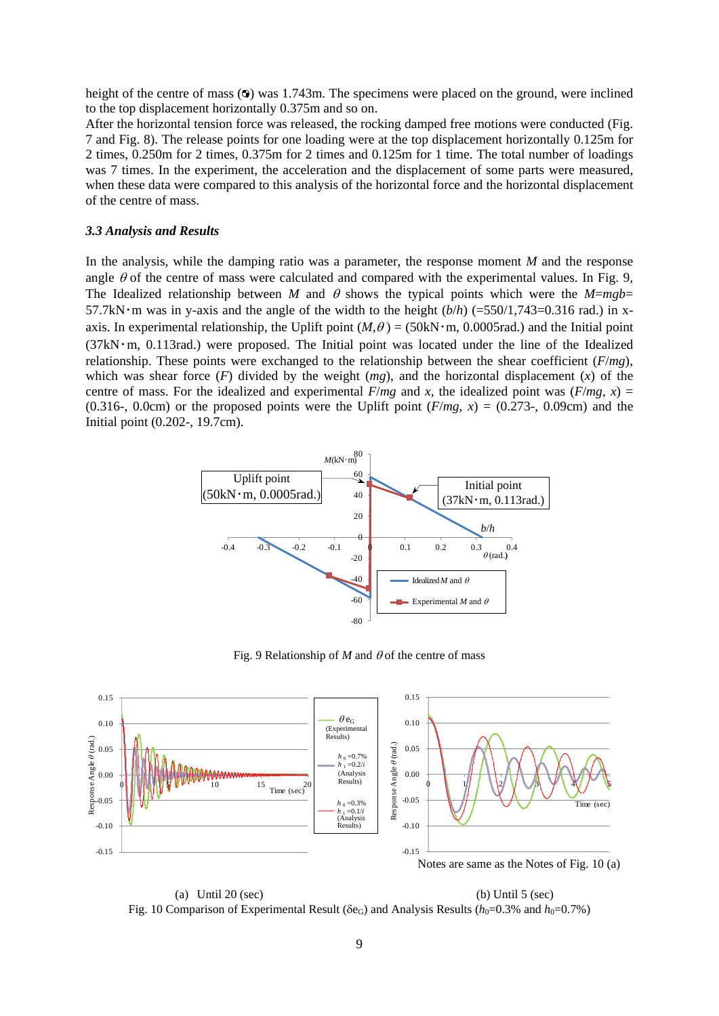height of the centre of mass  $\circledcirc$  was 1.743m. The specimens were placed on the ground, were inclined to the top displacement horizontally 0.375m and so on.

After the horizontal tension force was released, the rocking damped free motions were conducted (Fig. 7 and Fig. 8). The release points for one loading were at the top displacement horizontally 0.125m for 2 times, 0.250m for 2 times, 0.375m for 2 times and 0.125m for 1 time. The total number of loadings was 7 times. In the experiment, the acceleration and the displacement of some parts were measured, when these data were compared to this analysis of the horizontal force and the horizontal displacement of the centre of mass.

#### *3.3 Analysis and Results*

In the analysis, while the damping ratio was a parameter, the response moment *M* and the response angle  $\theta$  of the centre of mass were calculated and compared with the experimental values. In Fig. 9, The Idealized relationship between *M* and  $\theta$  shows the typical points which were the *M*=*mgb*= 57.7kN · m was in y-axis and the angle of the width to the height  $(b/h)$  (=550/1,743=0.316 rad.) in xaxis. In experimental relationship, the Uplift point  $(M, \theta) = (50 \text{kN} \cdot \text{m}, 0.0005 \text{rad})$  and the Initial point  $(37kN \cdot m, 0.113rad)$  were proposed. The Initial point was located under the line of the Idealized relationship. These points were exchanged to the relationship between the shear coefficient (*F*/*mg*), which was shear force  $(F)$  divided by the weight  $(mg)$ , and the horizontal displacement  $(x)$  of the centre of mass. For the idealized and experimental  $F/mg$  and *x*, the idealized point was  $(F/mg, x) =$ (0.316-, 0.0cm) or the proposed points were the Uplift point  $(F/mg, x) = (0.273$ -, 0.09cm) and the Initial point (0.202-, 19.7cm).



Fig. 9 Relationship of  $M$  and  $\theta$  of the centre of mass



(a) Until  $20$  (sec) (b) Until  $5$  (sec) Fig. 10 Comparison of Experimental Result ( $\delta$ e<sub>G</sub>) and Analysis Results ( $h_0$ =0.3% and  $h_0$ =0.7%)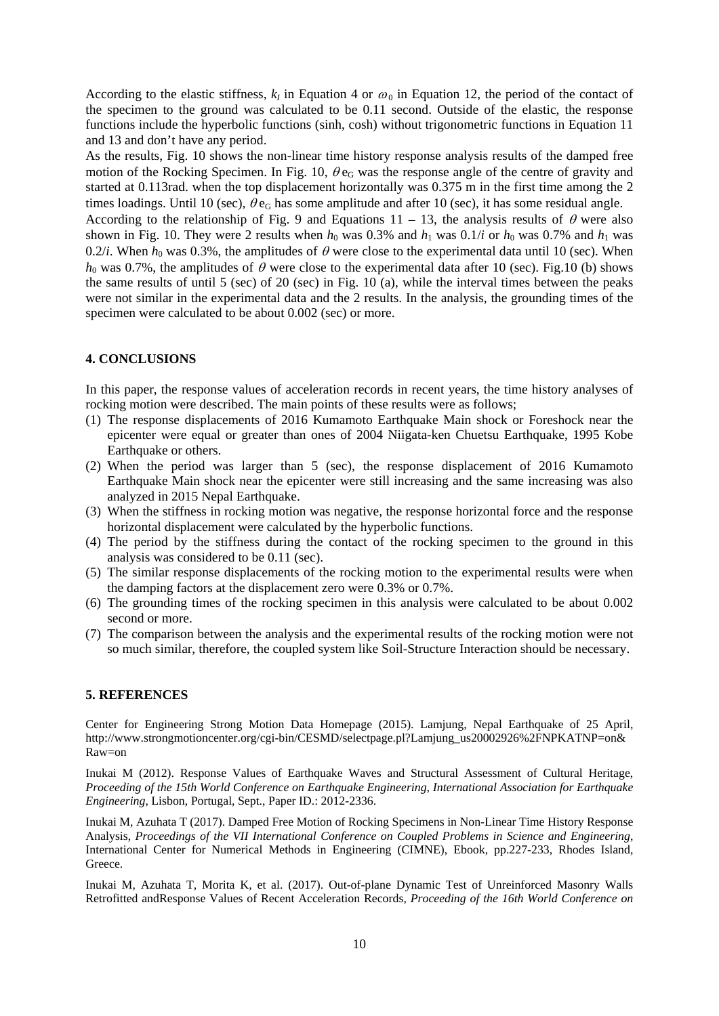According to the elastic stiffness,  $k<sub>I</sub>$  in Equation 4 or  $\omega<sub>0</sub>$  in Equation 12, the period of the contact of the specimen to the ground was calculated to be 0.11 second. Outside of the elastic, the response functions include the hyperbolic functions (sinh, cosh) without trigonometric functions in Equation 11 and 13 and don't have any period.

As the results, Fig. 10 shows the non-linear time history response analysis results of the damped free motion of the Rocking Specimen. In Fig. 10,  $\theta e_G$  was the response angle of the centre of gravity and started at 0.113rad. when the top displacement horizontally was 0.375 m in the first time among the 2 times loadings. Until 10 (sec),  $\theta e_G$  has some amplitude and after 10 (sec), it has some residual angle.

According to the relationship of Fig. 9 and Equations 11 – 13, the analysis results of  $\theta$  were also shown in Fig. 10. They were 2 results when  $h_0$  was 0.3% and  $h_1$  was 0.1/*i* or  $h_0$  was 0.7% and  $h_1$  was 0.2/*i*. When  $h_0$  was 0.3%, the amplitudes of  $\theta$  were close to the experimental data until 10 (sec). When  $h_0$  was 0.7%, the amplitudes of  $\theta$  were close to the experimental data after 10 (sec). Fig.10 (b) shows the same results of until 5 (sec) of 20 (sec) in Fig. 10 (a), while the interval times between the peaks were not similar in the experimental data and the 2 results. In the analysis, the grounding times of the specimen were calculated to be about 0.002 (sec) or more.

# **4. CONCLUSIONS**

In this paper, the response values of acceleration records in recent years, the time history analyses of rocking motion were described. The main points of these results were as follows;

- (1) The response displacements of 2016 Kumamoto Earthquake Main shock or Foreshock near the epicenter were equal or greater than ones of 2004 Niigata-ken Chuetsu Earthquake, 1995 Kobe Earthquake or others.
- (2) When the period was larger than 5 (sec), the response displacement of 2016 Kumamoto Earthquake Main shock near the epicenter were still increasing and the same increasing was also analyzed in 2015 Nepal Earthquake.
- (3) When the stiffness in rocking motion was negative, the response horizontal force and the response horizontal displacement were calculated by the hyperbolic functions.
- (4) The period by the stiffness during the contact of the rocking specimen to the ground in this analysis was considered to be 0.11 (sec).
- (5) The similar response displacements of the rocking motion to the experimental results were when the damping factors at the displacement zero were 0.3% or 0.7%.
- (6) The grounding times of the rocking specimen in this analysis were calculated to be about 0.002 second or more.
- (7) The comparison between the analysis and the experimental results of the rocking motion were not so much similar, therefore, the coupled system like Soil-Structure Interaction should be necessary.

## **5. REFERENCES**

Center for Engineering Strong Motion Data Homepage (2015). Lamjung, Nepal Earthquake of 25 April, http://www.strongmotioncenter.org/cgi-bin/CESMD/selectpage.pl?Lamjung\_us20002926%2FNPKATNP=on& Raw=on

Inukai M (2012). Response Values of Earthquake Waves and Structural Assessment of Cultural Heritage, *Proceeding of the 15th World Conference on Earthquake Engineering, International Association for Earthquake Engineering*, Lisbon, Portugal, Sept., Paper ID.: 2012-2336.

Inukai M, Azuhata T (2017). Damped Free Motion of Rocking Specimens in Non-Linear Time History Response Analysis, *Proceedings of the VII International Conference on Coupled Problems in Science and Engineering*, International Center for Numerical Methods in Engineering (CIMNE), Ebook, pp.227-233, Rhodes Island, Greece.

Inukai M, Azuhata T, Morita K, et al. (2017). Out-of-plane Dynamic Test of Unreinforced Masonry Walls Retrofitted andResponse Values of Recent Acceleration Records, *Proceeding of the 16th World Conference on*